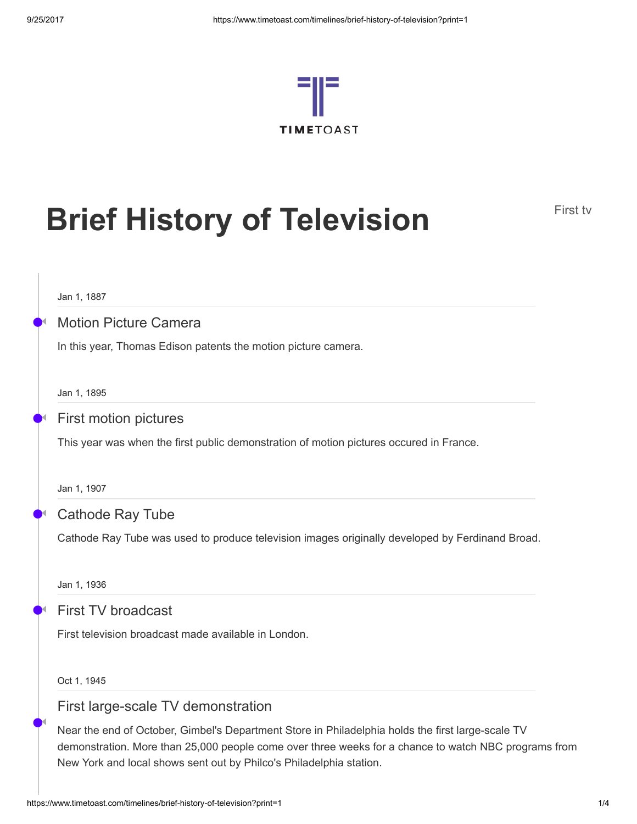

# **Brief History of Television**

Jan 1, 1887

•

◀

## Motion Picture Camera

In this year, Thomas Edison patents the motion picture camera.

Jan 1, 1895

#### • First motion pictures ◀

This year was when the first public demonstration of motion pictures occured in France.

Jan 1, 1907

#### • Cathode Ray Tube ◀

Cathode Ray Tube was used to produce television images originally developed by Ferdinand Broad.

Jan 1, 1936

•

◀

•

◀

### First TV broadcast

First television broadcast made available in London.

Oct 1, 1945

## First large-scale TV demonstration

Near the end of October, Gimbel's Department Store in Philadelphia holds the first large-scale TV demonstration. More than 25,000 people come over three weeks for a chance to watch NBC programs from New York and local shows sent out by Philco's Philadelphia station.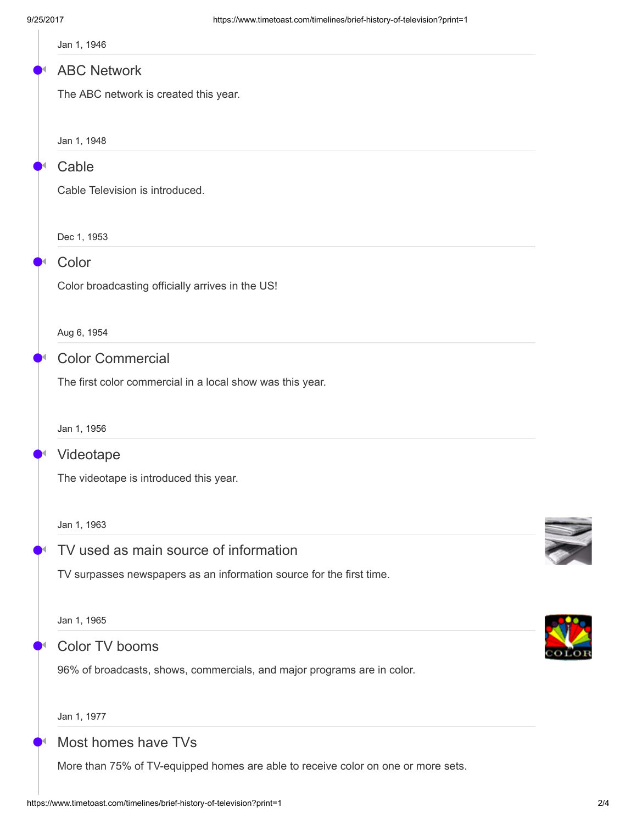|  |  | Jan 1, 1946 |
|--|--|-------------|
|--|--|-------------|

#### • ABC Network ◀

The ABC network is created this year.

Jan 1, 1948

#### • Cable ◀

Cable Television is introduced.

Dec 1, 1953

#### • Color ◀

•

◀

•

◀

•

◀

Color broadcasting officially arrives in the US!

Aug 6, 1954

## Color Commercial

The first color commercial in a local show was this year.

Jan 1, 1956

#### • Videotape ◀

The videotape is introduced this year.

Jan 1, 1963

## TV used as main source of information

TV surpasses newspapers as an information source for the first time.

Jan 1, 1965

## Color TV booms

96% of broadcasts, shows, commercials, and major programs are in color.

Jan 1, 1977

#### • Most homes have TVs ◀

More than 75% of TV-equipped homes are able to receive color on one or more sets.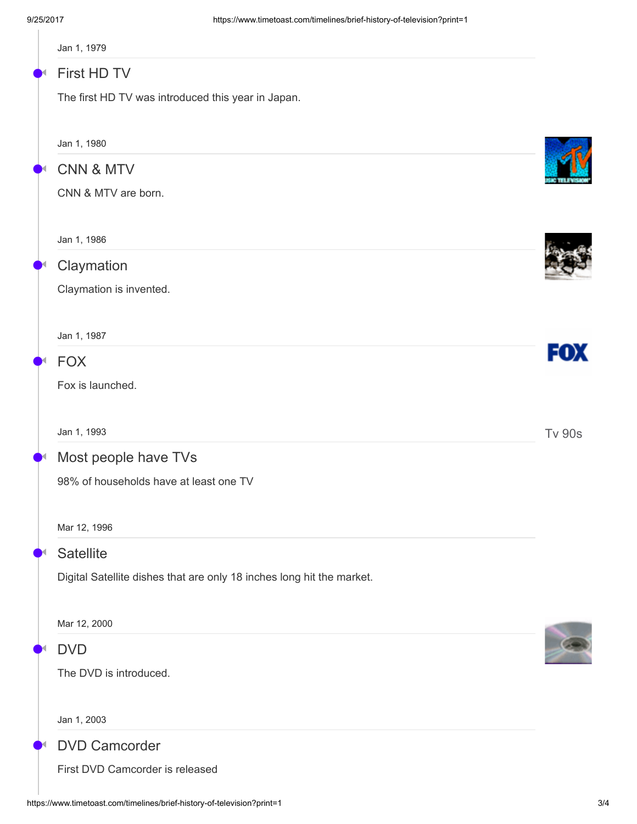| Jan 1, 1979                                                           |               |
|-----------------------------------------------------------------------|---------------|
| First HD TV                                                           |               |
| The first HD TV was introduced this year in Japan.                    |               |
| Jan 1, 1980                                                           |               |
| <b>CNN &amp; MTV</b>                                                  |               |
| CNN & MTV are born.                                                   |               |
| Jan 1, 1986                                                           |               |
| Claymation                                                            |               |
| Claymation is invented.                                               |               |
| Jan 1, 1987                                                           |               |
| <b>FOX</b>                                                            | FOX           |
| Fox is launched.                                                      |               |
| Jan 1, 1993                                                           | <b>Tv 90s</b> |
| Most people have TVs                                                  |               |
| 98% of households have at least one TV                                |               |
| Mar 12, 1996                                                          |               |
| <b>Satellite</b>                                                      |               |
| Digital Satellite dishes that are only 18 inches long hit the market. |               |
| Mar 12, 2000                                                          |               |
| <b>DVD</b>                                                            |               |
| The DVD is introduced.                                                |               |
| Jan 1, 2003                                                           |               |
| <b>DVD Camcorder</b>                                                  |               |
| First DVD Camcorder is released                                       |               |